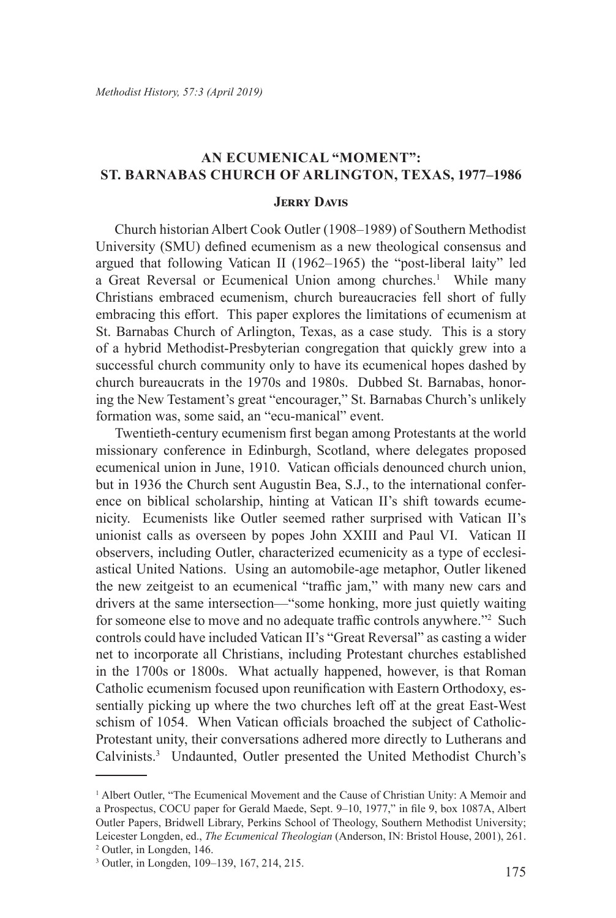# **An Ecumenical "Moment": St. Barnabas Church of Arlington, Texas, 1977–1986**

#### **Jerry Davis**

Church historian Albert Cook Outler (1908–1989) of Southern Methodist University (SMU) defined ecumenism as a new theological consensus and argued that following Vatican II (1962–1965) the "post-liberal laity" led a Great Reversal or Ecumenical Union among churches.<sup>1</sup> While many Christians embraced ecumenism, church bureaucracies fell short of fully embracing this effort. This paper explores the limitations of ecumenism at St. Barnabas Church of Arlington, Texas, as a case study. This is a story of a hybrid Methodist-Presbyterian congregation that quickly grew into a successful church community only to have its ecumenical hopes dashed by church bureaucrats in the 1970s and 1980s. Dubbed St. Barnabas, honoring the New Testament's great "encourager," St. Barnabas Church's unlikely formation was, some said, an "ecu-manical" event.

Twentieth-century ecumenism first began among Protestants at the world missionary conference in Edinburgh, Scotland, where delegates proposed ecumenical union in June, 1910. Vatican officials denounced church union, but in 1936 the Church sent Augustin Bea, S.J., to the international conference on biblical scholarship, hinting at Vatican II's shift towards ecumenicity. Ecumenists like Outler seemed rather surprised with Vatican II's unionist calls as overseen by popes John XXIII and Paul VI. Vatican II observers, including Outler, characterized ecumenicity as a type of ecclesiastical United Nations. Using an automobile-age metaphor, Outler likened the new zeitgeist to an ecumenical "traffic jam," with many new cars and drivers at the same intersection—"some honking, more just quietly waiting for someone else to move and no adequate traffic controls anywhere."<sup>2</sup> Such controls could have included Vatican II's "Great Reversal" as casting a wider net to incorporate all Christians, including Protestant churches established in the 1700s or 1800s. What actually happened, however, is that Roman Catholic ecumenism focused upon reunification with Eastern Orthodoxy, essentially picking up where the two churches left off at the great East-West schism of 1054. When Vatican officials broached the subject of Catholic-Protestant unity, their conversations adhered more directly to Lutherans and Calvinists.<sup>3</sup> Undaunted, Outler presented the United Methodist Church's

<sup>&</sup>lt;sup>1</sup> Albert Outler, "The Ecumenical Movement and the Cause of Christian Unity: A Memoir and a Prospectus, COCU paper for Gerald Maede, Sept. 9–10, 1977," in file 9, box 1087A, Albert Outler Papers, Bridwell Library, Perkins School of Theology, Southern Methodist University; Leicester Longden, ed., *The Ecumenical Theologian* (Anderson, IN: Bristol House, 2001), 261.

<sup>2</sup> Outler, in Longden, 146.

<sup>3</sup> Outler, in Longden, 109–139, 167, 214, 215.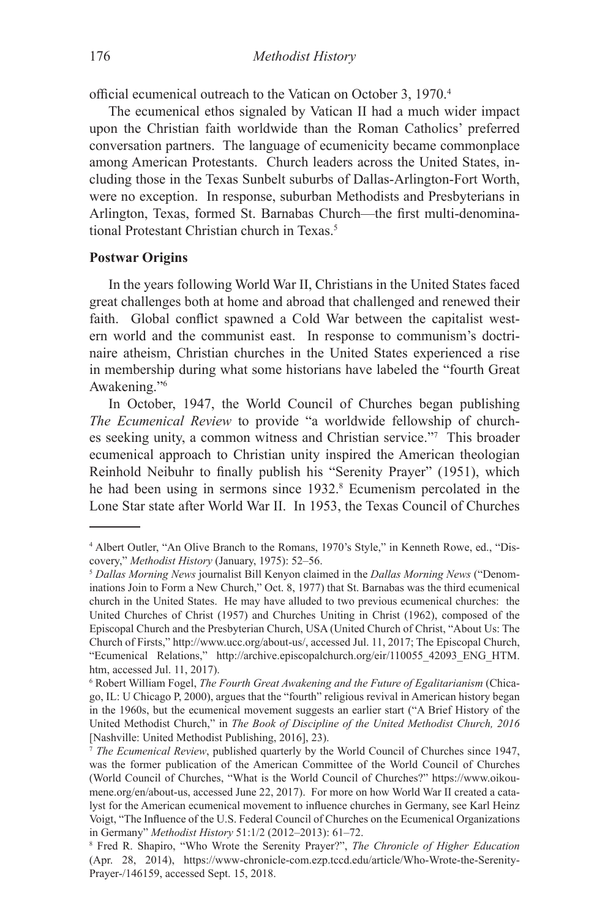official ecumenical outreach to the Vatican on October 3, 1970.<sup>4</sup>

The ecumenical ethos signaled by Vatican II had a much wider impact upon the Christian faith worldwide than the Roman Catholics' preferred conversation partners. The language of ecumenicity became commonplace among American Protestants. Church leaders across the United States, including those in the Texas Sunbelt suburbs of Dallas-Arlington-Fort Worth, were no exception. In response, suburban Methodists and Presbyterians in Arlington, Texas, formed St. Barnabas Church—the first multi-denominational Protestant Christian church in Texas.<sup>5</sup>

## **Postwar Origins**

In the years following World War II, Christians in the United States faced great challenges both at home and abroad that challenged and renewed their faith. Global conflict spawned a Cold War between the capitalist western world and the communist east. In response to communism's doctrinaire atheism, Christian churches in the United States experienced a rise in membership during what some historians have labeled the "fourth Great Awakening."6

In October, 1947, the World Council of Churches began publishing *The Ecumenical Review* to provide "a worldwide fellowship of churches seeking unity, a common witness and Christian service."7 This broader ecumenical approach to Christian unity inspired the American theologian Reinhold Neibuhr to finally publish his "Serenity Prayer" (1951), which he had been using in sermons since 1932.<sup>8</sup> Ecumenism percolated in the Lone Star state after World War II. In 1953, the Texas Council of Churches

<sup>4</sup> Albert Outler, "An Olive Branch to the Romans, 1970's Style," in Kenneth Rowe, ed., "Discovery," *Methodist History* (January, 1975): 52–56.

<sup>5</sup> *Dallas Morning News* journalist Bill Kenyon claimed in the *Dallas Morning News* ("Denominations Join to Form a New Church," Oct. 8, 1977) that St. Barnabas was the third ecumenical church in the United States. He may have alluded to two previous ecumenical churches: the United Churches of Christ (1957) and Churches Uniting in Christ (1962), composed of the Episcopal Church and the Presbyterian Church, USA (United Church of Christ, "About Us: The Church of Firsts," http://www.ucc.org/about-us/, accessed Jul. 11, 2017; The Episcopal Church, "Ecumenical Relations," http://archive.episcopalchurch.org/eir/110055\_42093\_ENG\_HTM. htm, accessed Jul. 11, 2017).

<sup>6</sup> Robert William Fogel, *The Fourth Great Awakening and the Future of Egalitarianism* (Chicago, IL: U Chicago P, 2000), argues that the "fourth" religious revival in American history began in the 1960s, but the ecumenical movement suggests an earlier start ("A Brief History of the United Methodist Church," in *The Book of Discipline of the United Methodist Church, 2016* [Nashville: United Methodist Publishing, 2016], 23).

<sup>7</sup> *The Ecumenical Review*, published quarterly by the World Council of Churches since 1947, was the former publication of the American Committee of the World Council of Churches (World Council of Churches, "What is the World Council of Churches?" https://www.oikoumene.org/en/about-us, accessed June 22, 2017). For more on how World War II created a catalyst for the American ecumenical movement to influence churches in Germany, see Karl Heinz Voigt, "The Influence of the U.S. Federal Council of Churches on the Ecumenical Organizations in Germany" *Methodist History* 51:1/2 (2012–2013): 61–72. 8

Fred R. Shapiro, "Who Wrote the Serenity Prayer?", *The Chronicle of Higher Education* (Apr. 28, 2014), https://www-chronicle-com.ezp.tccd.edu/article/Who-Wrote-the-Serenity-Prayer-/146159, accessed Sept. 15, 2018.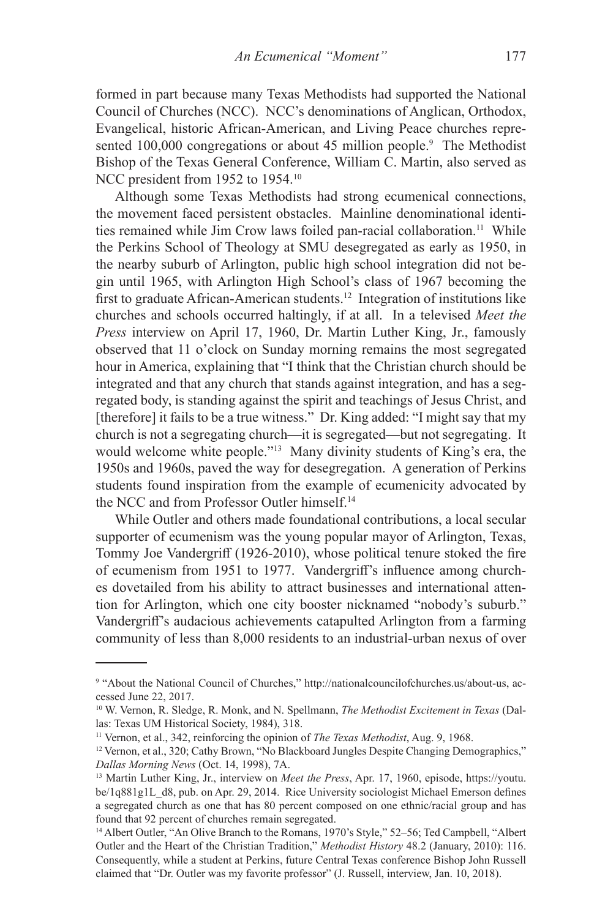formed in part because many Texas Methodists had supported the National Council of Churches (NCC). NCC's denominations of Anglican, Orthodox, Evangelical, historic African-American, and Living Peace churches represented 100,000 congregations or about 45 million people.<sup>9</sup> The Methodist Bishop of the Texas General Conference, William C. Martin, also served as NCC president from 1952 to 1954.<sup>10</sup>

Although some Texas Methodists had strong ecumenical connections, the movement faced persistent obstacles. Mainline denominational identities remained while Jim Crow laws foiled pan-racial collaboration.<sup>11</sup> While the Perkins School of Theology at SMU desegregated as early as 1950, in the nearby suburb of Arlington, public high school integration did not begin until 1965, with Arlington High School's class of 1967 becoming the first to graduate African-American students.<sup>12</sup> Integration of institutions like churches and schools occurred haltingly, if at all. In a televised *Meet the Press* interview on April 17, 1960, Dr. Martin Luther King, Jr., famously observed that 11 o'clock on Sunday morning remains the most segregated hour in America, explaining that "I think that the Christian church should be integrated and that any church that stands against integration, and has a segregated body, is standing against the spirit and teachings of Jesus Christ, and [therefore] it fails to be a true witness." Dr. King added: "I might say that my church is not a segregating church—it is segregated—but not segregating. It would welcome white people."<sup>13</sup> Many divinity students of King's era, the 1950s and 1960s, paved the way for desegregation. A generation of Perkins students found inspiration from the example of ecumenicity advocated by the NCC and from Professor Outler himself.<sup>14</sup>

While Outler and others made foundational contributions, a local secular supporter of ecumenism was the young popular mayor of Arlington, Texas, Tommy Joe Vandergriff (1926-2010), whose political tenure stoked the fire of ecumenism from 1951 to 1977. Vandergriff's influence among churches dovetailed from his ability to attract businesses and international attention for Arlington, which one city booster nicknamed "nobody's suburb." Vandergriff's audacious achievements catapulted Arlington from a farming community of less than 8,000 residents to an industrial-urban nexus of over

<sup>9</sup> "About the National Council of Churches," http://nationalcouncilofchurches.us/about-us, accessed June 22, 2017.

<sup>10</sup> W. Vernon, R. Sledge, R. Monk, and N. Spellmann, *The Methodist Excitement in Texas* (Dallas: Texas UM Historical Society, 1984), 318.

<sup>11</sup> Vernon, et al., 342, reinforcing the opinion of *The Texas Methodist*, Aug. 9, 1968.

<sup>&</sup>lt;sup>12</sup> Vernon, et al., 320; Cathy Brown, "No Blackboard Jungles Despite Changing Demographics," *Dallas Morning News* (Oct. 14, 1998), 7A.

<sup>13</sup> Martin Luther King, Jr., interview on *Meet the Press*, Apr. 17, 1960, episode, https://youtu. be/1q881g1L\_d8, pub. on Apr. 29, 2014. Rice University sociologist Michael Emerson defines a segregated church as one that has 80 percent composed on one ethnic/racial group and has found that 92 percent of churches remain segregated.

<sup>&</sup>lt;sup>14</sup> Albert Outler, "An Olive Branch to the Romans, 1970's Style," 52-56; Ted Campbell, "Albert Outler and the Heart of the Christian Tradition," *Methodist History* 48.2 (January, 2010): 116. Consequently, while a student at Perkins, future Central Texas conference Bishop John Russell claimed that "Dr. Outler was my favorite professor" (J. Russell, interview, Jan. 10, 2018).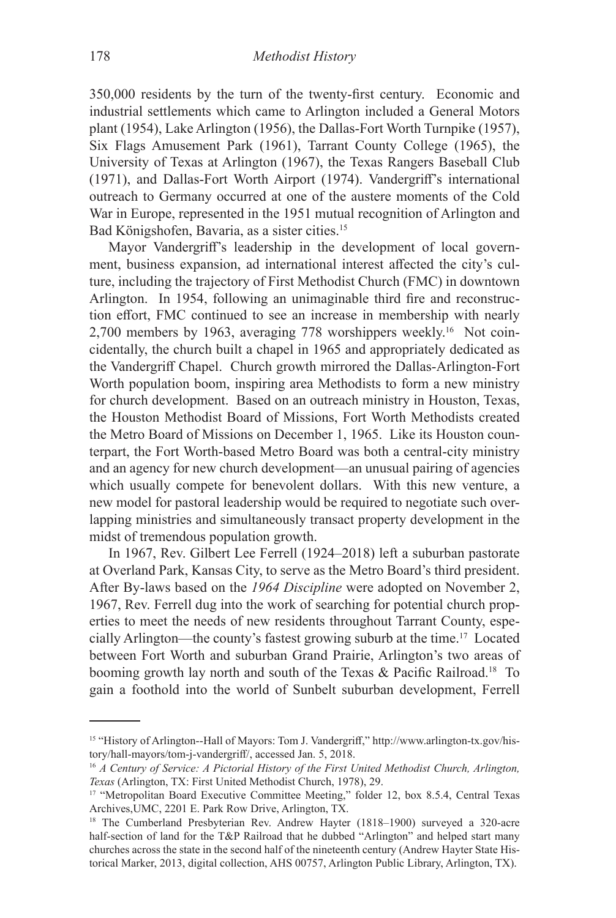350,000 residents by the turn of the twenty-first century. Economic and industrial settlements which came to Arlington included a General Motors plant (1954), Lake Arlington (1956), the Dallas-Fort Worth Turnpike (1957), Six Flags Amusement Park (1961), Tarrant County College (1965), the University of Texas at Arlington (1967), the Texas Rangers Baseball Club (1971), and Dallas-Fort Worth Airport (1974). Vandergriff's international outreach to Germany occurred at one of the austere moments of the Cold War in Europe, represented in the 1951 mutual recognition of Arlington and Bad Königshofen, Bavaria, as a sister cities.15

Mayor Vandergriff's leadership in the development of local government, business expansion, ad international interest affected the city's culture, including the trajectory of First Methodist Church (FMC) in downtown Arlington. In 1954, following an unimaginable third fire and reconstruction effort, FMC continued to see an increase in membership with nearly 2,700 members by 1963, averaging 778 worshippers weekly.16 Not coincidentally, the church built a chapel in 1965 and appropriately dedicated as the Vandergriff Chapel. Church growth mirrored the Dallas-Arlington-Fort Worth population boom, inspiring area Methodists to form a new ministry for church development. Based on an outreach ministry in Houston, Texas, the Houston Methodist Board of Missions, Fort Worth Methodists created the Metro Board of Missions on December 1, 1965. Like its Houston counterpart, the Fort Worth-based Metro Board was both a central-city ministry and an agency for new church development—an unusual pairing of agencies which usually compete for benevolent dollars. With this new venture, a new model for pastoral leadership would be required to negotiate such overlapping ministries and simultaneously transact property development in the midst of tremendous population growth.

In 1967, Rev. Gilbert Lee Ferrell (1924–2018) left a suburban pastorate at Overland Park, Kansas City, to serve as the Metro Board's third president. After By-laws based on the *1964 Discipline* were adopted on November 2, 1967, Rev. Ferrell dug into the work of searching for potential church properties to meet the needs of new residents throughout Tarrant County, especially Arlington—the county's fastest growing suburb at the time.17 Located between Fort Worth and suburban Grand Prairie, Arlington's two areas of booming growth lay north and south of the Texas & Pacific Railroad.18 To gain a foothold into the world of Sunbelt suburban development, Ferrell

<sup>15 &</sup>quot;History of Arlington--Hall of Mayors: Tom J. Vandergriff," http://www.arlington-tx.gov/history/hall-mayors/tom-j-vandergriff/, accessed Jan. 5, 2018.

<sup>16</sup> *A Century of Service: A Pictorial History of the First United Methodist Church, Arlington, Texas* (Arlington, TX: First United Methodist Church, 1978), 29.

<sup>&</sup>lt;sup>17</sup> "Metropolitan Board Executive Committee Meeting," folder 12, box 8.5.4, Central Texas Archives,UMC, 2201 E. Park Row Drive, Arlington, TX.

<sup>&</sup>lt;sup>18</sup> The Cumberland Presbyterian Rev. Andrew Hayter (1818–1900) surveyed a 320-acre half-section of land for the T&P Railroad that he dubbed "Arlington" and helped start many churches across the state in the second half of the nineteenth century (Andrew Hayter State Historical Marker, 2013, digital collection, AHS 00757, Arlington Public Library, Arlington, TX).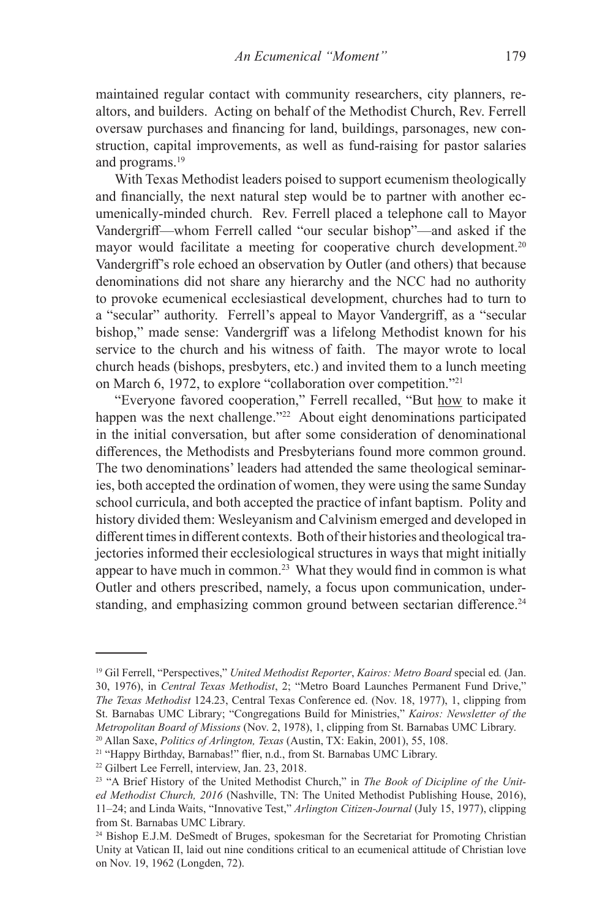maintained regular contact with community researchers, city planners, realtors, and builders. Acting on behalf of the Methodist Church, Rev. Ferrell oversaw purchases and financing for land, buildings, parsonages, new construction, capital improvements, as well as fund-raising for pastor salaries and programs.<sup>19</sup>

With Texas Methodist leaders poised to support ecumenism theologically and financially, the next natural step would be to partner with another ecumenically-minded church. Rev. Ferrell placed a telephone call to Mayor Vandergriff—whom Ferrell called "our secular bishop"—and asked if the mayor would facilitate a meeting for cooperative church development.<sup>20</sup> Vandergriff's role echoed an observation by Outler (and others) that because denominations did not share any hierarchy and the NCC had no authority to provoke ecumenical ecclesiastical development, churches had to turn to a "secular" authority. Ferrell's appeal to Mayor Vandergriff, as a "secular bishop," made sense: Vandergriff was a lifelong Methodist known for his service to the church and his witness of faith. The mayor wrote to local church heads (bishops, presbyters, etc.) and invited them to a lunch meeting on March 6, 1972, to explore "collaboration over competition."<sup>21</sup>

"Everyone favored cooperation," Ferrell recalled, "But how to make it happen was the next challenge."<sup>22</sup> About eight denominations participated in the initial conversation, but after some consideration of denominational differences, the Methodists and Presbyterians found more common ground. The two denominations' leaders had attended the same theological seminaries, both accepted the ordination of women, they were using the same Sunday school curricula, and both accepted the practice of infant baptism. Polity and history divided them: Wesleyanism and Calvinism emerged and developed in different times in different contexts. Both of their histories and theological trajectories informed their ecclesiological structures in ways that might initially appear to have much in common.<sup>23</sup> What they would find in common is what Outler and others prescribed, namely, a focus upon communication, understanding, and emphasizing common ground between sectarian difference.<sup>24</sup>

<sup>19</sup> Gil Ferrell, "Perspectives," *United Methodist Reporter*, *Kairos: Metro Board* special ed*.* (Jan. 30, 1976), in *Central Texas Methodist*, 2; "Metro Board Launches Permanent Fund Drive," *The Texas Methodist* 124.23, Central Texas Conference ed. (Nov. 18, 1977), 1, clipping from St. Barnabas UMC Library; "Congregations Build for Ministries," *Kairos: Newsletter of the Metropolitan Board of Missions* (Nov. 2, 1978), 1, clipping from St. Barnabas UMC Library. <sup>20</sup> Allan Saxe, *Politics of Arlington, Texas* (Austin, TX: Eakin, 2001), 55, 108.

<sup>21</sup> "Happy Birthday, Barnabas!" flier, n.d., from St. Barnabas UMC Library.

<sup>22</sup> Gilbert Lee Ferrell, interview, Jan. 23, 2018.

<sup>23</sup> "A Brief History of the United Methodist Church," in *The Book of Dicipline of the United Methodist Church, 2016* (Nashville, TN: The United Methodist Publishing House, 2016), 11–24; and Linda Waits, "Innovative Test," *Arlington Citizen-Journal* (July 15, 1977), clipping from St. Barnabas UMC Library.

<sup>&</sup>lt;sup>24</sup> Bishop E.J.M. DeSmedt of Bruges, spokesman for the Secretariat for Promoting Christian Unity at Vatican II, laid out nine conditions critical to an ecumenical attitude of Christian love on Nov. 19, 1962 (Longden, 72).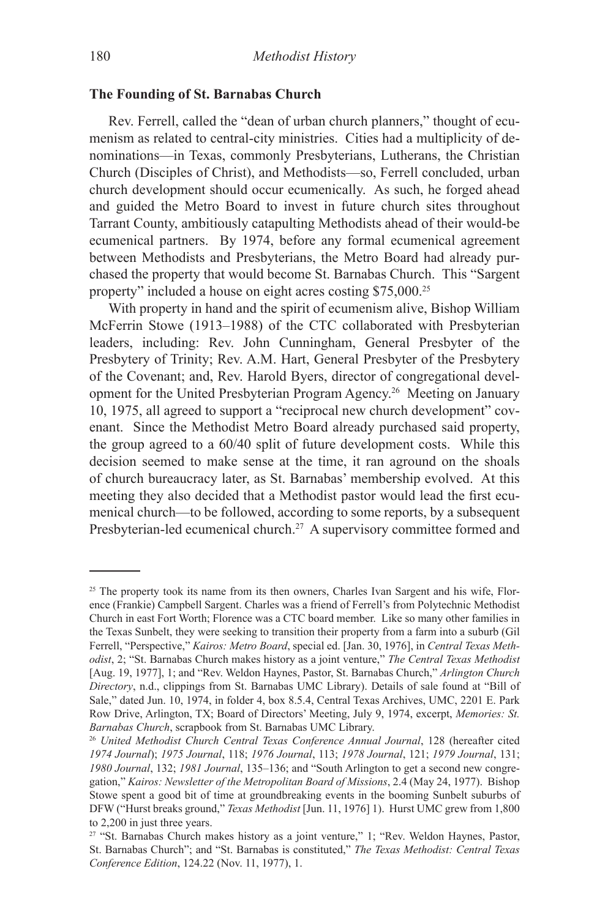## **The Founding of St. Barnabas Church**

Rev. Ferrell, called the "dean of urban church planners," thought of ecumenism as related to central-city ministries. Cities had a multiplicity of denominations—in Texas, commonly Presbyterians, Lutherans, the Christian Church (Disciples of Christ), and Methodists—so, Ferrell concluded, urban church development should occur ecumenically. As such, he forged ahead and guided the Metro Board to invest in future church sites throughout Tarrant County, ambitiously catapulting Methodists ahead of their would-be ecumenical partners. By 1974, before any formal ecumenical agreement between Methodists and Presbyterians, the Metro Board had already purchased the property that would become St. Barnabas Church. This "Sargent property" included a house on eight acres costing \$75,000.25

With property in hand and the spirit of ecumenism alive, Bishop William McFerrin Stowe (1913–1988) of the CTC collaborated with Presbyterian leaders, including: Rev. John Cunningham, General Presbyter of the Presbytery of Trinity; Rev. A.M. Hart, General Presbyter of the Presbytery of the Covenant; and, Rev. Harold Byers, director of congregational development for the United Presbyterian Program Agency.26 Meeting on January 10, 1975, all agreed to support a "reciprocal new church development" covenant. Since the Methodist Metro Board already purchased said property, the group agreed to a 60/40 split of future development costs. While this decision seemed to make sense at the time, it ran aground on the shoals of church bureaucracy later, as St. Barnabas' membership evolved. At this meeting they also decided that a Methodist pastor would lead the first ecumenical church—to be followed, according to some reports, by a subsequent Presbyterian-led ecumenical church.<sup>27</sup> A supervisory committee formed and

<sup>&</sup>lt;sup>25</sup> The property took its name from its then owners, Charles Ivan Sargent and his wife, Florence (Frankie) Campbell Sargent. Charles was a friend of Ferrell's from Polytechnic Methodist Church in east Fort Worth; Florence was a CTC board member. Like so many other families in the Texas Sunbelt, they were seeking to transition their property from a farm into a suburb (Gil Ferrell, "Perspective," *Kairos: Metro Board*, special ed. [Jan. 30, 1976], in *Central Texas Methodist*, 2; "St. Barnabas Church makes history as a joint venture," *The Central Texas Methodist* [Aug. 19, 1977], 1; and "Rev. Weldon Haynes, Pastor, St. Barnabas Church," *Arlington Church Directory*, n.d., clippings from St. Barnabas UMC Library). Details of sale found at "Bill of Sale," dated Jun. 10, 1974, in folder 4, box 8.5.4, Central Texas Archives, UMC, 2201 E. Park Row Drive, Arlington, TX; Board of Directors' Meeting, July 9, 1974, excerpt, *Memories: St. Barnabas Church*, scrapbook from St. Barnabas UMC Library.

<sup>26</sup> *United Methodist Church Central Texas Conference Annual Journal*, 128 (hereafter cited *1974 Journal*); *1975 Journal*, 118; *1976 Journal*, 113; *1978 Journal*, 121; *1979 Journal*, 131; *1980 Journal*, 132; *1981 Journal*, 135–136; and "South Arlington to get a second new congregation," *Kairos: Newsletter of the Metropolitan Board of Missions*, 2.4 (May 24, 1977). Bishop Stowe spent a good bit of time at groundbreaking events in the booming Sunbelt suburbs of DFW ("Hurst breaks ground," *Texas Methodist* [Jun. 11, 1976] 1). Hurst UMC grew from 1,800 to 2,200 in just three years.

<sup>&</sup>lt;sup>27</sup> "St. Barnabas Church makes history as a joint venture," 1; "Rev. Weldon Haynes, Pastor, St. Barnabas Church"; and "St. Barnabas is constituted," *The Texas Methodist: Central Texas Conference Edition*, 124.22 (Nov. 11, 1977), 1.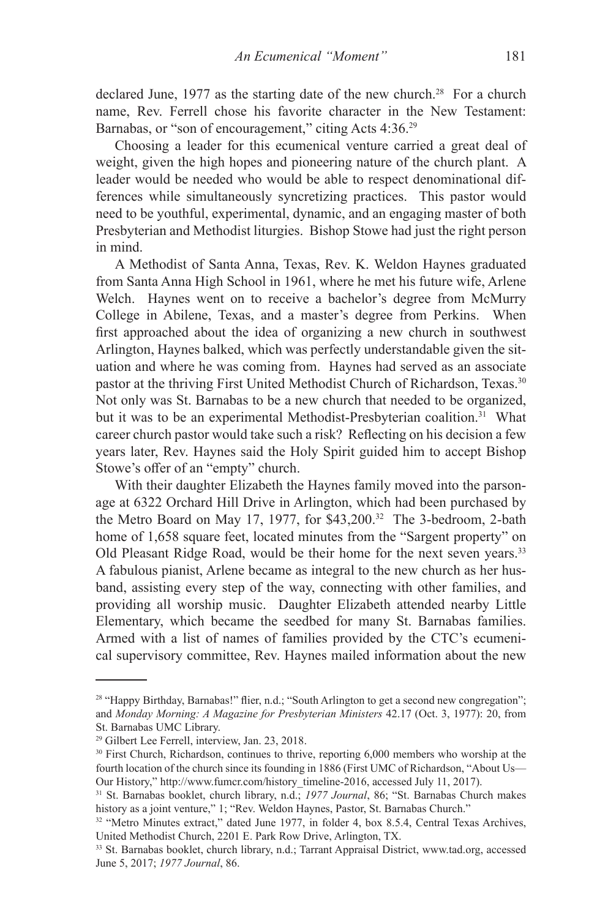declared June, 1977 as the starting date of the new church.<sup>28</sup> For a church name, Rev. Ferrell chose his favorite character in the New Testament: Barnabas, or "son of encouragement," citing Acts 4:36.<sup>29</sup>

Choosing a leader for this ecumenical venture carried a great deal of weight, given the high hopes and pioneering nature of the church plant. A leader would be needed who would be able to respect denominational differences while simultaneously syncretizing practices. This pastor would need to be youthful, experimental, dynamic, and an engaging master of both Presbyterian and Methodist liturgies. Bishop Stowe had just the right person in mind.

A Methodist of Santa Anna, Texas, Rev. K. Weldon Haynes graduated from Santa Anna High School in 1961, where he met his future wife, Arlene Welch. Haynes went on to receive a bachelor's degree from McMurry College in Abilene, Texas, and a master's degree from Perkins. When first approached about the idea of organizing a new church in southwest Arlington, Haynes balked, which was perfectly understandable given the situation and where he was coming from. Haynes had served as an associate pastor at the thriving First United Methodist Church of Richardson, Texas.<sup>30</sup> Not only was St. Barnabas to be a new church that needed to be organized, but it was to be an experimental Methodist-Presbyterian coalition.<sup>31</sup> What career church pastor would take such a risk? Reflecting on his decision a few years later, Rev. Haynes said the Holy Spirit guided him to accept Bishop Stowe's offer of an "empty" church.

With their daughter Elizabeth the Haynes family moved into the parsonage at 6322 Orchard Hill Drive in Arlington, which had been purchased by the Metro Board on May 17, 1977, for \$43,200.<sup>32</sup> The 3-bedroom, 2-bath home of 1,658 square feet, located minutes from the "Sargent property" on Old Pleasant Ridge Road, would be their home for the next seven years.<sup>33</sup> A fabulous pianist, Arlene became as integral to the new church as her husband, assisting every step of the way, connecting with other families, and providing all worship music. Daughter Elizabeth attended nearby Little Elementary, which became the seedbed for many St. Barnabas families. Armed with a list of names of families provided by the CTC's ecumenical supervisory committee, Rev. Haynes mailed information about the new

<sup>28 &</sup>quot;Happy Birthday, Barnabas!" flier, n.d.; "South Arlington to get a second new congregation"; and *Monday Morning: A Magazine for Presbyterian Ministers* 42.17 (Oct. 3, 1977): 20, from St. Barnabas UMC Library.

<sup>&</sup>lt;sup>29</sup> Gilbert Lee Ferrell, interview, Jan. 23, 2018.

<sup>&</sup>lt;sup>30</sup> First Church, Richardson, continues to thrive, reporting 6,000 members who worship at the fourth location of the church since its founding in 1886 (First UMC of Richardson, "About Us— Our History," http://www.fumcr.com/history\_timeline-2016, accessed July 11, 2017).

<sup>31</sup> St. Barnabas booklet, church library, n.d.; *1977 Journal*, 86; "St. Barnabas Church makes history as a joint venture," 1; "Rev. Weldon Haynes, Pastor, St. Barnabas Church."

<sup>&</sup>lt;sup>32</sup> "Metro Minutes extract," dated June 1977, in folder 4, box 8.5.4, Central Texas Archives, United Methodist Church, 2201 E. Park Row Drive, Arlington, TX.

<sup>33</sup> St. Barnabas booklet, church library, n.d.; Tarrant Appraisal District, www.tad.org, accessed June 5, 2017; *1977 Journal*, 86.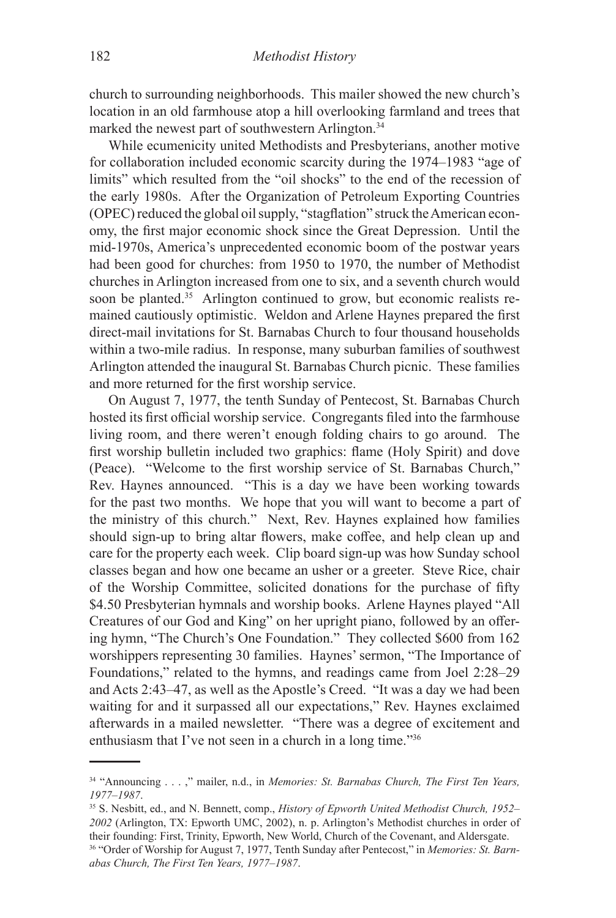church to surrounding neighborhoods. This mailer showed the new church's location in an old farmhouse atop a hill overlooking farmland and trees that marked the newest part of southwestern Arlington.<sup>34</sup>

While ecumenicity united Methodists and Presbyterians, another motive for collaboration included economic scarcity during the 1974–1983 "age of limits" which resulted from the "oil shocks" to the end of the recession of the early 1980s. After the Organization of Petroleum Exporting Countries (OPEC) reduced the global oil supply, "stagflation" struck the American economy, the first major economic shock since the Great Depression. Until the mid-1970s, America's unprecedented economic boom of the postwar years had been good for churches: from 1950 to 1970, the number of Methodist churches in Arlington increased from one to six, and a seventh church would soon be planted.<sup>35</sup> Arlington continued to grow, but economic realists remained cautiously optimistic. Weldon and Arlene Haynes prepared the first direct-mail invitations for St. Barnabas Church to four thousand households within a two-mile radius. In response, many suburban families of southwest Arlington attended the inaugural St. Barnabas Church picnic. These families and more returned for the first worship service.

On August 7, 1977, the tenth Sunday of Pentecost, St. Barnabas Church hosted its first official worship service. Congregants filed into the farmhouse living room, and there weren't enough folding chairs to go around. The first worship bulletin included two graphics: flame (Holy Spirit) and dove (Peace). "Welcome to the first worship service of St. Barnabas Church," Rev. Haynes announced. "This is a day we have been working towards for the past two months. We hope that you will want to become a part of the ministry of this church." Next, Rev. Haynes explained how families should sign-up to bring altar flowers, make coffee, and help clean up and care for the property each week. Clip board sign-up was how Sunday school classes began and how one became an usher or a greeter. Steve Rice, chair of the Worship Committee, solicited donations for the purchase of fifty \$4.50 Presbyterian hymnals and worship books. Arlene Haynes played "All Creatures of our God and King" on her upright piano, followed by an offering hymn, "The Church's One Foundation." They collected \$600 from 162 worshippers representing 30 families. Haynes' sermon, "The Importance of Foundations," related to the hymns, and readings came from Joel 2:28–29 and Acts 2:43–47, as well as the Apostle's Creed. "It was a day we had been waiting for and it surpassed all our expectations," Rev. Haynes exclaimed afterwards in a mailed newsletter. "There was a degree of excitement and enthusiasm that I've not seen in a church in a long time."36

<sup>34</sup> "Announcing . . . ," mailer, n.d., in *Memories: St. Barnabas Church, The First Ten Years, 1977–1987*.

<sup>35</sup> S. Nesbitt, ed., and N. Bennett, comp., *History of Epworth United Methodist Church, 1952– 2002* (Arlington, TX: Epworth UMC, 2002), n. p. Arlington's Methodist churches in order of their founding: First, Trinity, Epworth, New World, Church of the Covenant, and Aldersgate. 36 "Order of Worship for August 7, 1977, Tenth Sunday after Pentecost," in *Memories: St. Barnabas Church, The First Ten Years, 1977–1987*.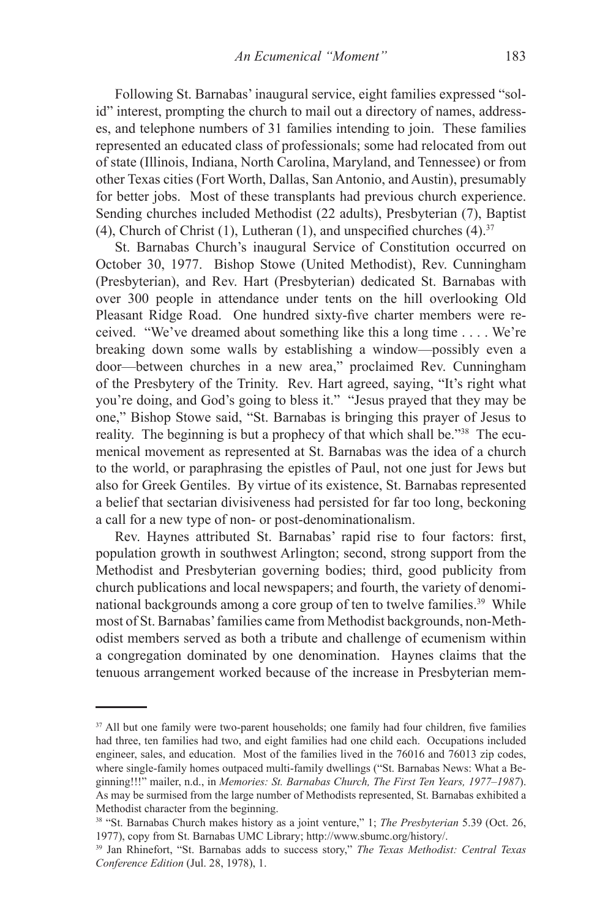Following St. Barnabas' inaugural service, eight families expressed "solid" interest, prompting the church to mail out a directory of names, addresses, and telephone numbers of 31 families intending to join. These families represented an educated class of professionals; some had relocated from out of state (Illinois, Indiana, North Carolina, Maryland, and Tennessee) or from other Texas cities (Fort Worth, Dallas, San Antonio, and Austin), presumably for better jobs. Most of these transplants had previous church experience. Sending churches included Methodist (22 adults), Presbyterian (7), Baptist (4), Church of Christ (1), Lutheran (1), and unspecified churches  $(4)$ .<sup>37</sup>

St. Barnabas Church's inaugural Service of Constitution occurred on October 30, 1977. Bishop Stowe (United Methodist), Rev. Cunningham (Presbyterian), and Rev. Hart (Presbyterian) dedicated St. Barnabas with over 300 people in attendance under tents on the hill overlooking Old Pleasant Ridge Road. One hundred sixty-five charter members were received. "We've dreamed about something like this a long time . . . . We're breaking down some walls by establishing a window—possibly even a door—between churches in a new area," proclaimed Rev. Cunningham of the Presbytery of the Trinity. Rev. Hart agreed, saying, "It's right what you're doing, and God's going to bless it." "Jesus prayed that they may be one," Bishop Stowe said, "St. Barnabas is bringing this prayer of Jesus to reality. The beginning is but a prophecy of that which shall be."38 The ecumenical movement as represented at St. Barnabas was the idea of a church to the world, or paraphrasing the epistles of Paul, not one just for Jews but also for Greek Gentiles. By virtue of its existence, St. Barnabas represented a belief that sectarian divisiveness had persisted for far too long, beckoning a call for a new type of non- or post-denominationalism.

Rev. Haynes attributed St. Barnabas' rapid rise to four factors: first, population growth in southwest Arlington; second, strong support from the Methodist and Presbyterian governing bodies; third, good publicity from church publications and local newspapers; and fourth, the variety of denominational backgrounds among a core group of ten to twelve families.<sup>39</sup> While most of St. Barnabas' families came from Methodist backgrounds, non-Methodist members served as both a tribute and challenge of ecumenism within a congregation dominated by one denomination. Haynes claims that the tenuous arrangement worked because of the increase in Presbyterian mem-

<sup>&</sup>lt;sup>37</sup> All but one family were two-parent households; one family had four children, five families had three, ten families had two, and eight families had one child each. Occupations included engineer, sales, and education. Most of the families lived in the 76016 and 76013 zip codes, where single-family homes outpaced multi-family dwellings ("St. Barnabas News: What a Beginning!!!" mailer, n.d., in *Memories: St. Barnabas Church, The First Ten Years, 1977–1987*). As may be surmised from the large number of Methodists represented, St. Barnabas exhibited a Methodist character from the beginning.

<sup>38 &</sup>quot;St. Barnabas Church makes history as a joint venture," 1; *The Presbyterian* 5.39 (Oct. 26, 1977), copy from St. Barnabas UMC Library; http://www.sbumc.org/history/.

<sup>39</sup> Jan Rhinefort, "St. Barnabas adds to success story," *The Texas Methodist: Central Texas Conference Edition* (Jul. 28, 1978), 1.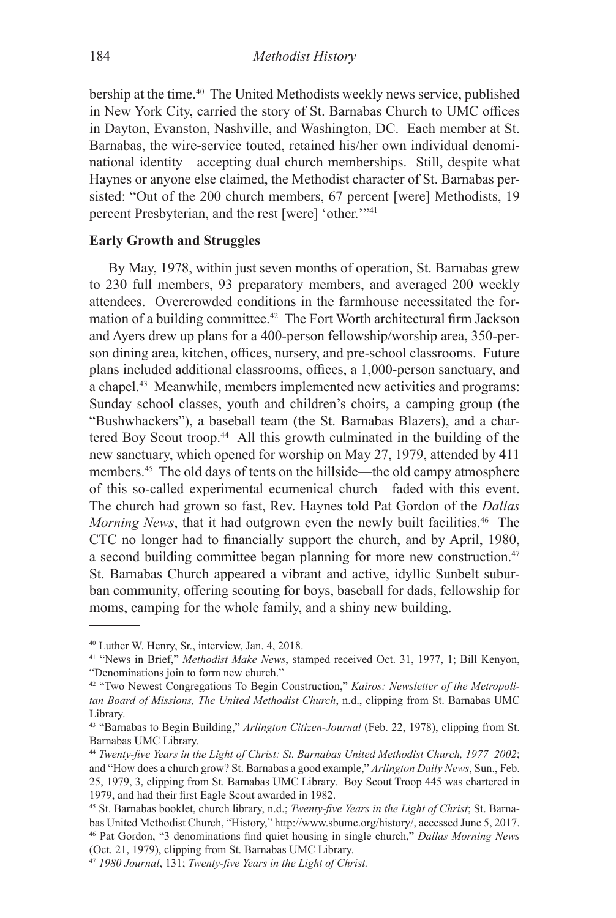bership at the time.<sup>40</sup> The United Methodists weekly news service, published in New York City, carried the story of St. Barnabas Church to UMC offices in Dayton, Evanston, Nashville, and Washington, DC. Each member at St. Barnabas, the wire-service touted, retained his/her own individual denominational identity—accepting dual church memberships. Still, despite what Haynes or anyone else claimed, the Methodist character of St. Barnabas persisted: "Out of the 200 church members, 67 percent [were] Methodists, 19 percent Presbyterian, and the rest [were] 'other.'"<sup>41</sup>

# **Early Growth and Struggles**

By May, 1978, within just seven months of operation, St. Barnabas grew to 230 full members, 93 preparatory members, and averaged 200 weekly attendees. Overcrowded conditions in the farmhouse necessitated the formation of a building committee.<sup>42</sup> The Fort Worth architectural firm Jackson and Ayers drew up plans for a 400-person fellowship/worship area, 350-person dining area, kitchen, offices, nursery, and pre-school classrooms. Future plans included additional classrooms, offices, a 1,000-person sanctuary, and a chapel.<sup>43</sup> Meanwhile, members implemented new activities and programs: Sunday school classes, youth and children's choirs, a camping group (the "Bushwhackers"), a baseball team (the St. Barnabas Blazers), and a chartered Boy Scout troop.<sup>44</sup> All this growth culminated in the building of the new sanctuary, which opened for worship on May 27, 1979, attended by 411 members.45 The old days of tents on the hillside—the old campy atmosphere of this so-called experimental ecumenical church—faded with this event. The church had grown so fast, Rev. Haynes told Pat Gordon of the *Dallas Morning News*, that it had outgrown even the newly built facilities.<sup>46</sup> The CTC no longer had to financially support the church, and by April, 1980, a second building committee began planning for more new construction.<sup>47</sup> St. Barnabas Church appeared a vibrant and active, idyllic Sunbelt suburban community, offering scouting for boys, baseball for dads, fellowship for moms, camping for the whole family, and a shiny new building.

<sup>40</sup> Luther W. Henry, Sr., interview, Jan. 4, 2018.

<sup>41</sup> "News in Brief," *Methodist Make News*, stamped received Oct. 31, 1977, 1; Bill Kenyon, "Denominations join to form new church."

<sup>42</sup> "Two Newest Congregations To Begin Construction," *Kairos: Newsletter of the Metropolitan Board of Missions, The United Methodist Church*, n.d., clipping from St. Barnabas UMC Library.

<sup>43</sup> "Barnabas to Begin Building," *Arlington Citizen-Journal* (Feb. 22, 1978), clipping from St. Barnabas UMC Library.

<sup>44</sup> *Twenty-five Years in the Light of Christ: St. Barnabas United Methodist Church, 1977–2002*; and "How does a church grow? St. Barnabas a good example," *Arlington Daily News*, Sun., Feb. 25, 1979, 3, clipping from St. Barnabas UMC Library. Boy Scout Troop 445 was chartered in 1979, and had their first Eagle Scout awarded in 1982.

<sup>45</sup> St. Barnabas booklet, church library, n.d.; *Twenty-five Years in the Light of Christ*; St. Barnabas United Methodist Church, "History," http://www.sbumc.org/history/, accessed June 5, 2017. 46 Pat Gordon, "3 denominations find quiet housing in single church," *Dallas Morning News* (Oct. 21, 1979), clipping from St. Barnabas UMC Library.

<sup>47</sup> *1980 Journal*, 131; *Twenty-five Years in the Light of Christ.*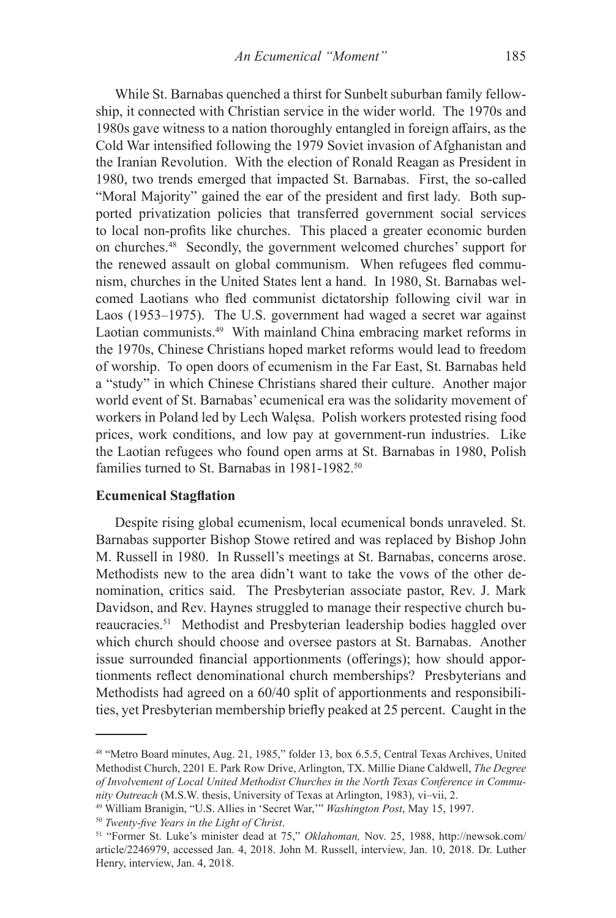While St. Barnabas quenched a thirst for Sunbelt suburban family fellowship, it connected with Christian service in the wider world. The 1970s and 1980s gave witness to a nation thoroughly entangled in foreign affairs, as the Cold War intensified following the 1979 Soviet invasion of Afghanistan and the Iranian Revolution. With the election of Ronald Reagan as President in 1980, two trends emerged that impacted St. Barnabas. First, the so-called "Moral Majority" gained the ear of the president and first lady. Both supported privatization policies that transferred government social services to local non-profits like churches. This placed a greater economic burden on churches.48 Secondly, the government welcomed churches' support for the renewed assault on global communism. When refugees fled communism, churches in the United States lent a hand. In 1980, St. Barnabas welcomed Laotians who fled communist dictatorship following civil war in Laos (1953–1975). The U.S. government had waged a secret war against Laotian communists.<sup>49</sup> With mainland China embracing market reforms in the 1970s, Chinese Christians hoped market reforms would lead to freedom of worship. To open doors of ecumenism in the Far East, St. Barnabas held a "study" in which Chinese Christians shared their culture. Another major world event of St. Barnabas' ecumenical era was the solidarity movement of workers in Poland led by Lech Walęsa. Polish workers protested rising food prices, work conditions, and low pay at government-run industries. Like the Laotian refugees who found open arms at St. Barnabas in 1980, Polish families turned to St. Barnabas in 1981-1982.50

#### **Ecumenical Stagflation**

Despite rising global ecumenism, local ecumenical bonds unraveled. St. Barnabas supporter Bishop Stowe retired and was replaced by Bishop John M. Russell in 1980. In Russell's meetings at St. Barnabas, concerns arose. Methodists new to the area didn't want to take the vows of the other denomination, critics said. The Presbyterian associate pastor, Rev. J. Mark Davidson, and Rev. Haynes struggled to manage their respective church bureaucracies.51 Methodist and Presbyterian leadership bodies haggled over which church should choose and oversee pastors at St. Barnabas. Another issue surrounded financial apportionments (offerings); how should apportionments reflect denominational church memberships? Presbyterians and Methodists had agreed on a 60/40 split of apportionments and responsibilities, yet Presbyterian membership briefly peaked at 25 percent. Caught in the

<sup>50</sup> *Twenty-five Years in the Light of Christ*.

<sup>48 &</sup>quot;Metro Board minutes, Aug. 21, 1985," folder 13, box 6.5.5, Central Texas Archives, United Methodist Church, 2201 E. Park Row Drive, Arlington, TX. Millie Diane Caldwell, *The Degree of Involvement of Local United Methodist Churches in the North Texas Conference in Community Outreach* (M.S.W. thesis, University of Texas at Arlington, 1983), vi–vii, 2.

<sup>49</sup> William Branigin, "U.S. Allies in 'Secret War,'" *Washington Post*, May 15, 1997.

<sup>51 &</sup>quot;Former St. Luke's minister dead at 75," *Oklahoman,* Nov. 25, 1988, http://newsok.com/ article/2246979, accessed Jan. 4, 2018. John M. Russell, interview, Jan. 10, 2018. Dr. Luther Henry, interview, Jan. 4, 2018.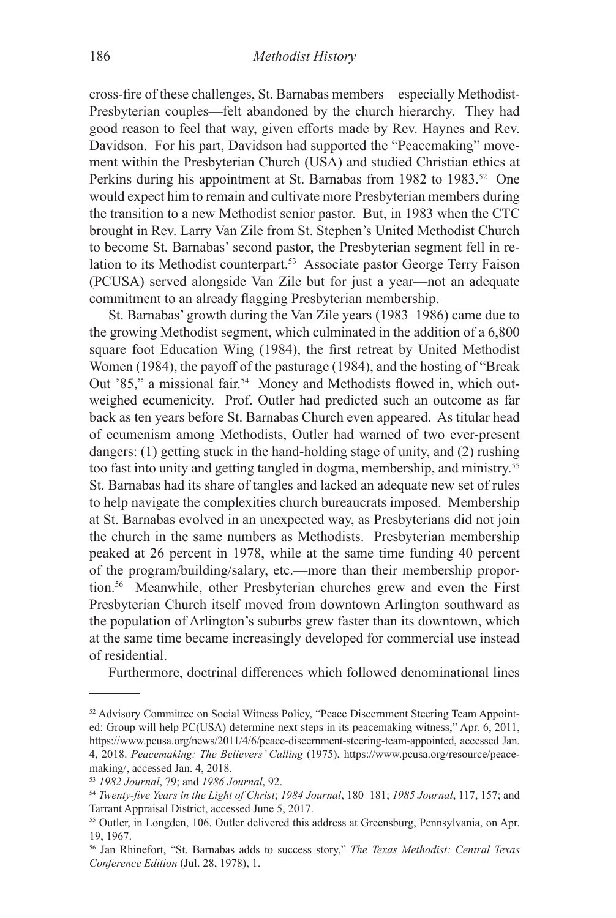cross-fire of these challenges, St. Barnabas members—especially Methodist-Presbyterian couples—felt abandoned by the church hierarchy. They had good reason to feel that way, given efforts made by Rev. Haynes and Rev. Davidson. For his part, Davidson had supported the "Peacemaking" movement within the Presbyterian Church (USA) and studied Christian ethics at Perkins during his appointment at St. Barnabas from 1982 to 1983.<sup>52</sup> One would expect him to remain and cultivate more Presbyterian members during the transition to a new Methodist senior pastor. But, in 1983 when the CTC brought in Rev. Larry Van Zile from St. Stephen's United Methodist Church to become St. Barnabas' second pastor, the Presbyterian segment fell in relation to its Methodist counterpart.<sup>53</sup> Associate pastor George Terry Faison (PCUSA) served alongside Van Zile but for just a year—not an adequate commitment to an already flagging Presbyterian membership.

St. Barnabas' growth during the Van Zile years (1983–1986) came due to the growing Methodist segment, which culminated in the addition of a 6,800 square foot Education Wing (1984), the first retreat by United Methodist Women (1984), the payoff of the pasturage (1984), and the hosting of "Break Out '85," a missional fair.<sup>54</sup> Money and Methodists flowed in, which outweighed ecumenicity. Prof. Outler had predicted such an outcome as far back as ten years before St. Barnabas Church even appeared. As titular head of ecumenism among Methodists, Outler had warned of two ever-present dangers: (1) getting stuck in the hand-holding stage of unity, and (2) rushing too fast into unity and getting tangled in dogma, membership, and ministry.55 St. Barnabas had its share of tangles and lacked an adequate new set of rules to help navigate the complexities church bureaucrats imposed. Membership at St. Barnabas evolved in an unexpected way, as Presbyterians did not join the church in the same numbers as Methodists. Presbyterian membership peaked at 26 percent in 1978, while at the same time funding 40 percent of the program/building/salary, etc.—more than their membership proportion.56 Meanwhile, other Presbyterian churches grew and even the First Presbyterian Church itself moved from downtown Arlington southward as the population of Arlington's suburbs grew faster than its downtown, which at the same time became increasingly developed for commercial use instead of residential.

Furthermore, doctrinal differences which followed denominational lines

<sup>52</sup> Advisory Committee on Social Witness Policy, "Peace Discernment Steering Team Appointed: Group will help PC(USA) determine next steps in its peacemaking witness," Apr. 6, 2011, https://www.pcusa.org/news/2011/4/6/peace-discernment-steering-team-appointed, accessed Jan. 4, 2018. *Peacemaking: The Believers' Calling* (1975), https://www.pcusa.org/resource/peacemaking/, accessed Jan. 4, 2018.

<sup>53</sup> *1982 Journal*, 79; and *1986 Journal*, 92.

<sup>54</sup> *Twenty-five Years in the Light of Christ*; *1984 Journal*, 180–181; *1985 Journal*, 117, 157; and Tarrant Appraisal District, accessed June 5, 2017.

<sup>55</sup> Outler, in Longden, 106. Outler delivered this address at Greensburg, Pennsylvania, on Apr. 19, 1967.

<sup>56</sup> Jan Rhinefort, "St. Barnabas adds to success story," *The Texas Methodist: Central Texas Conference Edition* (Jul. 28, 1978), 1.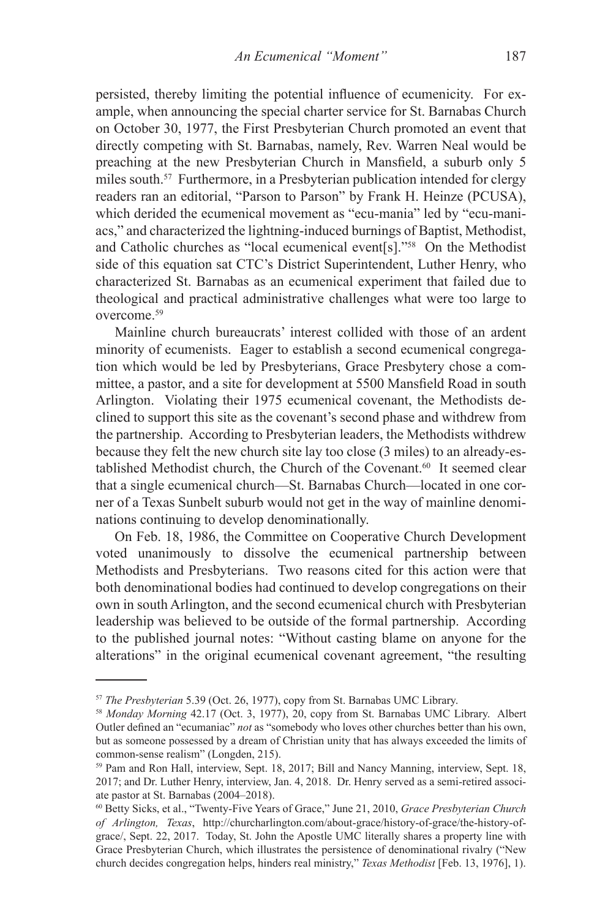persisted, thereby limiting the potential influence of ecumenicity. For example, when announcing the special charter service for St. Barnabas Church on October 30, 1977, the First Presbyterian Church promoted an event that directly competing with St. Barnabas, namely, Rev. Warren Neal would be preaching at the new Presbyterian Church in Mansfield, a suburb only 5 miles south.57 Furthermore, in a Presbyterian publication intended for clergy readers ran an editorial, "Parson to Parson" by Frank H. Heinze (PCUSA), which derided the ecumenical movement as "ecu-mania" led by "ecu-maniacs," and characterized the lightning-induced burnings of Baptist, Methodist, and Catholic churches as "local ecumenical event[s]."58 On the Methodist side of this equation sat CTC's District Superintendent, Luther Henry, who characterized St. Barnabas as an ecumenical experiment that failed due to theological and practical administrative challenges what were too large to overcome.59

Mainline church bureaucrats' interest collided with those of an ardent minority of ecumenists. Eager to establish a second ecumenical congregation which would be led by Presbyterians, Grace Presbytery chose a committee, a pastor, and a site for development at 5500 Mansfield Road in south Arlington. Violating their 1975 ecumenical covenant, the Methodists declined to support this site as the covenant's second phase and withdrew from the partnership. According to Presbyterian leaders, the Methodists withdrew because they felt the new church site lay too close (3 miles) to an already-established Methodist church, the Church of the Covenant.<sup>60</sup> It seemed clear that a single ecumenical church—St. Barnabas Church—located in one corner of a Texas Sunbelt suburb would not get in the way of mainline denominations continuing to develop denominationally.

On Feb. 18, 1986, the Committee on Cooperative Church Development voted unanimously to dissolve the ecumenical partnership between Methodists and Presbyterians. Two reasons cited for this action were that both denominational bodies had continued to develop congregations on their own in south Arlington, and the second ecumenical church with Presbyterian leadership was believed to be outside of the formal partnership. According to the published journal notes: "Without casting blame on anyone for the alterations" in the original ecumenical covenant agreement, "the resulting

<sup>&</sup>lt;sup>57</sup> *The Presbyterian* 5.39 (Oct. 26, 1977), copy from St. Barnabas UMC Library.<br><sup>58</sup> *Monday Morning* 42.17 (Oct. 3, 1977), 20, copy from St. Barnabas UMC Library. Albert Outler defined an "ecumaniac" *not* as "somebody who loves other churches better than his own, but as someone possessed by a dream of Christian unity that has always exceeded the limits of common-sense realism" (Longden, 215).

<sup>59</sup> Pam and Ron Hall, interview, Sept. 18, 2017; Bill and Nancy Manning, interview, Sept. 18, 2017; and Dr. Luther Henry, interview, Jan. 4, 2018. Dr. Henry served as a semi-retired associate pastor at St. Barnabas (2004–2018).

<sup>60</sup> Betty Sicks, et al., "Twenty-Five Years of Grace," June 21, 2010, *Grace Presbyterian Church of Arlington, Texas*, http://churcharlington.com/about-grace/history-of-grace/the-history-ofgrace/, Sept. 22, 2017. Today, St. John the Apostle UMC literally shares a property line with Grace Presbyterian Church, which illustrates the persistence of denominational rivalry ("New church decides congregation helps, hinders real ministry," *Texas Methodist* [Feb. 13, 1976], 1).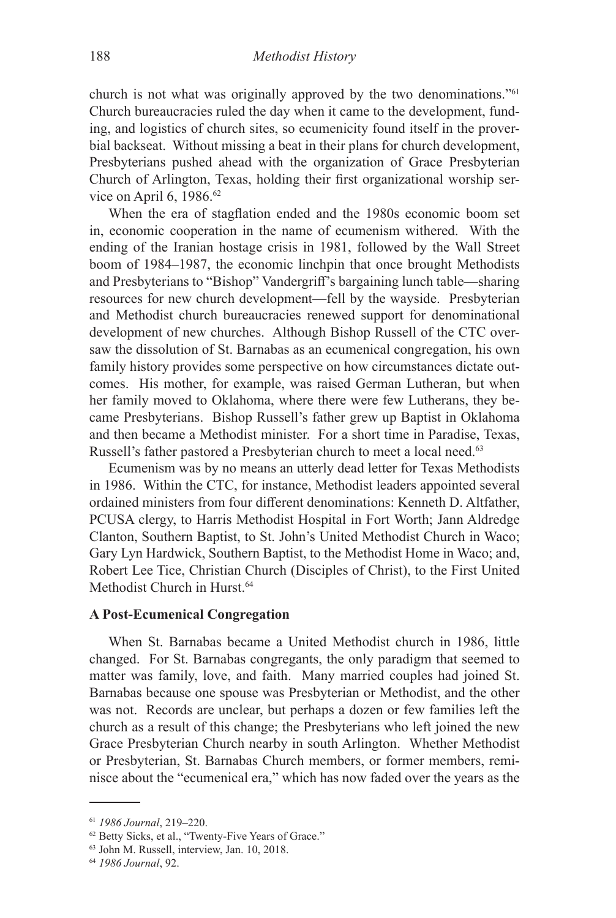church is not what was originally approved by the two denominations."61 Church bureaucracies ruled the day when it came to the development, funding, and logistics of church sites, so ecumenicity found itself in the proverbial backseat. Without missing a beat in their plans for church development, Presbyterians pushed ahead with the organization of Grace Presbyterian Church of Arlington, Texas, holding their first organizational worship service on April 6, 1986.62

When the era of stagflation ended and the 1980s economic boom set in, economic cooperation in the name of ecumenism withered. With the ending of the Iranian hostage crisis in 1981, followed by the Wall Street boom of 1984–1987, the economic linchpin that once brought Methodists and Presbyterians to "Bishop" Vandergriff's bargaining lunch table—sharing resources for new church development—fell by the wayside. Presbyterian and Methodist church bureaucracies renewed support for denominational development of new churches. Although Bishop Russell of the CTC oversaw the dissolution of St. Barnabas as an ecumenical congregation, his own family history provides some perspective on how circumstances dictate outcomes. His mother, for example, was raised German Lutheran, but when her family moved to Oklahoma, where there were few Lutherans, they became Presbyterians. Bishop Russell's father grew up Baptist in Oklahoma and then became a Methodist minister. For a short time in Paradise, Texas, Russell's father pastored a Presbyterian church to meet a local need.<sup>63</sup>

Ecumenism was by no means an utterly dead letter for Texas Methodists in 1986. Within the CTC, for instance, Methodist leaders appointed several ordained ministers from four different denominations: Kenneth D. Altfather, PCUSA clergy, to Harris Methodist Hospital in Fort Worth; Jann Aldredge Clanton, Southern Baptist, to St. John's United Methodist Church in Waco; Gary Lyn Hardwick, Southern Baptist, to the Methodist Home in Waco; and, Robert Lee Tice, Christian Church (Disciples of Christ), to the First United Methodist Church in Hurst.<sup>64</sup>

# **A Post-Ecumenical Congregation**

When St. Barnabas became a United Methodist church in 1986, little changed. For St. Barnabas congregants, the only paradigm that seemed to matter was family, love, and faith. Many married couples had joined St. Barnabas because one spouse was Presbyterian or Methodist, and the other was not. Records are unclear, but perhaps a dozen or few families left the church as a result of this change; the Presbyterians who left joined the new Grace Presbyterian Church nearby in south Arlington. Whether Methodist or Presbyterian, St. Barnabas Church members, or former members, reminisce about the "ecumenical era," which has now faded over the years as the

<sup>61</sup> *1986 Journal*, 219–220.

<sup>62</sup> Betty Sicks, et al., "Twenty-Five Years of Grace."

<sup>63</sup> John M. Russell, interview, Jan. 10, 2018.

<sup>64</sup> *1986 Journal*, 92.